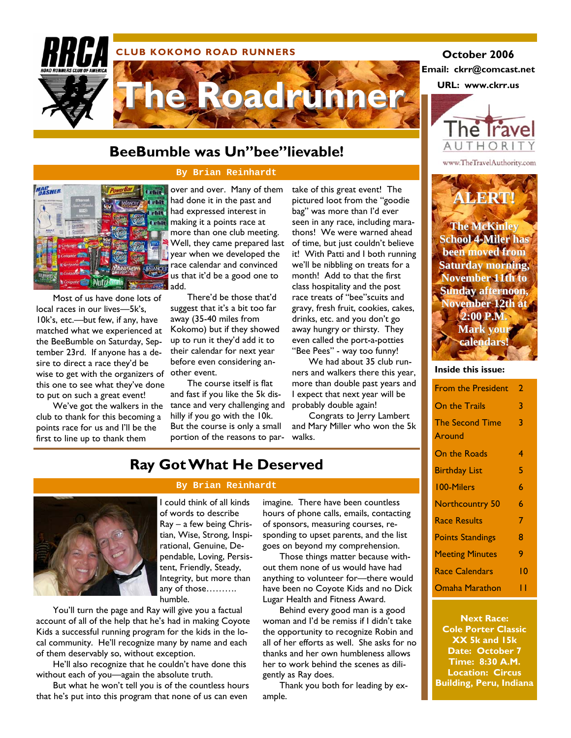

### **BeeBumble was Un"bee"lievable!**



Most of us have done lots of local races in our lives—5k's, 10k's, etc.—but few, if any, have matched what we experienced at the BeeBumble on Saturday, September 23rd. If anyone has a desire to direct a race they'd be wise to get with the organizers of other event. this one to see what they've done to put on such a great event!

We've got the walkers in the club to thank for this becoming a points race for us and I'll be the first to line up to thank them

#### **By Brian Reinhardt**

**Critical** over and over. Many of them had done it in the past and had expressed interest in making it a points race at more than one club meeting. Well, they came prepared last year when we developed the race calendar and convinced us that it'd be a good one to add.

> There'd be those that'd suggest that it's a bit too far away (35-40 miles from Kokomo) but if they showed up to run it they'd add it to their calendar for next year before even considering an-

The course itself is flat and fast if you like the 5k distance and very challenging and hilly if you go with the 10k. But the course is only a small portion of the reasons to par-

take of this great event! The pictured loot from the "goodie bag" was more than I'd ever seen in any race, including marathons! We were warned ahead of time, but just couldn't believe it! With Patti and I both running we'll be nibbling on treats for a month! Add to that the first class hospitality and the post race treats of "bee"scuits and gravy, fresh fruit, cookies, cakes, drinks, etc. and you don't go away hungry or thirsty. They even called the port-a-potties "Bee Pees" - way too funny!

We had about 35 club runners and walkers there this year, more than double past years and I expect that next year will be probably double again!

Congrats to Jerry Lambert and Mary Miller who won the 5k walks.

# **Ray Got What He Deserved**

#### **By Brian Reinhardt**



I could think of all kinds of words to describe Ray – a few being Christian, Wise, Strong, Inspirational, Genuine, Dependable, Loving, Persistent, Friendly, Steady, Integrity, but more than any of those………. humble.

You'll turn the page and Ray will give you a factual account of all of the help that he's had in making Coyote Kids a successful running program for the kids in the local community. He'll recognize many by name and each of them deservably so, without exception.

He'll also recognize that he couldn't have done this without each of you—again the absolute truth.

But what he won't tell you is of the countless hours that he's put into this program that none of us can even

imagine. There have been countless hours of phone calls, emails, contacting of sponsors, measuring courses, responding to upset parents, and the list goes on beyond my comprehension.

Those things matter because without them none of us would have had anything to volunteer for—there would have been no Coyote Kids and no Dick Lugar Health and Fitness Award.

Behind every good man is a good woman and I'd be remiss if I didn't take the opportunity to recognize Robin and all of her efforts as well. She asks for no thanks and her own humbleness allows her to work behind the scenes as diligently as Ray does.

Thank you both for leading by example.

### **Email: ckrr@comcast.net October 2006**

**URL: www.ckrr.us** 



www.TheTravelAuthority.com

**ALERT!**

**The McKinley The McKinley School 4-Miler has been moved from Saturday morning, November 11th to Sunday afternoon, November 12th at 2:00 P.M. Mark vour calendars! calendars!**

#### **Inside this issue:**

| <b>From the President</b> | 2  |
|---------------------------|----|
| On the Trails             | 3  |
| <b>The Second Time</b>    | 3  |
| Around                    |    |
| On the Roads              | 4  |
| <b>Birthday List</b>      | 5  |
| 100-Milers                | 6  |
| Northcountry 50           | 6  |
| <b>Race Results</b>       | 7  |
| <b>Points Standings</b>   | 8  |
| <b>Meeting Minutes</b>    | 9  |
| <b>Race Calendars</b>     | 10 |
| Omaha Marathon            | Н  |

**Next Race: Cole Porter Classic XX 5k and 15k Date: October 7 Time: 8:30 A.M. Location: Circus Building, Peru, Indiana**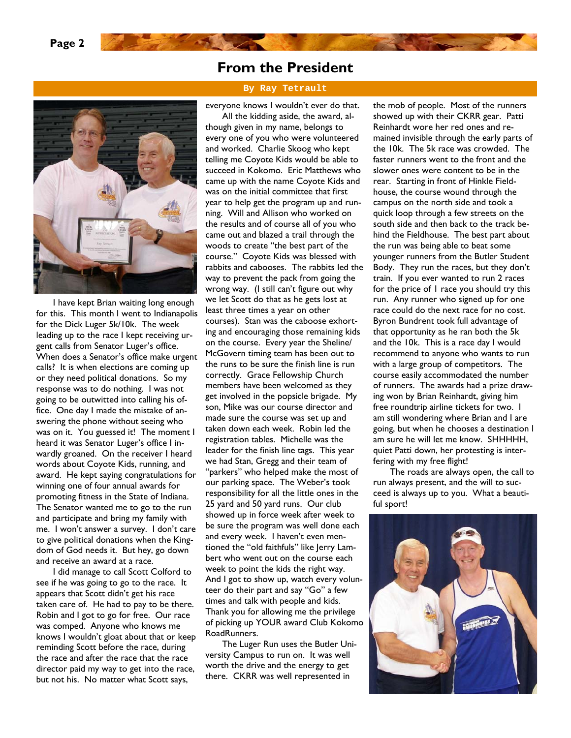### **From the President**

**By Ray Tetrault** 



I have kept Brian waiting long enough for this. This month I went to Indianapolis for the Dick Luger 5k/10k. The week leading up to the race I kept receiving urgent calls from Senator Luger's office. When does a Senator's office make urgent calls? It is when elections are coming up or they need political donations. So my response was to do nothing. I was not going to be outwitted into calling his office. One day I made the mistake of answering the phone without seeing who was on it. You guessed it! The moment I heard it was Senator Luger's office I inwardly groaned. On the receiver I heard words about Coyote Kids, running, and award. He kept saying congratulations for winning one of four annual awards for promoting fitness in the State of Indiana. The Senator wanted me to go to the run and participate and bring my family with me. I won't answer a survey. I don't care to give political donations when the Kingdom of God needs it. But hey, go down and receive an award at a race.

I did manage to call Scott Colford to see if he was going to go to the race. It appears that Scott didn't get his race taken care of. He had to pay to be there. Robin and I got to go for free. Our race was comped. Anyone who knows me knows I wouldn't gloat about that or keep reminding Scott before the race, during the race and after the race that the race director paid my way to get into the race, but not his. No matter what Scott says,

everyone knows I wouldn't ever do that.

All the kidding aside, the award, although given in my name, belongs to every one of you who were volunteered and worked. Charlie Skoog who kept telling me Coyote Kids would be able to succeed in Kokomo. Eric Matthews who came up with the name Coyote Kids and was on the initial committee that first year to help get the program up and running. Will and Allison who worked on the results and of course all of you who came out and blazed a trail through the woods to create "the best part of the course." Coyote Kids was blessed with rabbits and cabooses. The rabbits led the way to prevent the pack from going the wrong way. (I still can't figure out why we let Scott do that as he gets lost at least three times a year on other courses). Stan was the caboose exhorting and encouraging those remaining kids on the course. Every year the Sheline/ McGovern timing team has been out to the runs to be sure the finish line is run correctly. Grace Fellowship Church members have been welcomed as they get involved in the popsicle brigade. My son, Mike was our course director and made sure the course was set up and taken down each week. Robin led the registration tables. Michelle was the leader for the finish line tags. This year we had Stan, Gregg and their team of "parkers" who helped make the most of our parking space. The Weber's took responsibility for all the little ones in the 25 yard and 50 yard runs. Our club showed up in force week after week to be sure the program was well done each and every week. I haven't even mentioned the "old faithfuls" like Jerry Lambert who went out on the course each week to point the kids the right way. And I got to show up, watch every volunteer do their part and say "Go" a few times and talk with people and kids. Thank you for allowing me the privilege of picking up YOUR award Club Kokomo RoadRunners.

The Luger Run uses the Butler University Campus to run on. It was well worth the drive and the energy to get there. CKRR was well represented in

the mob of people. Most of the runners showed up with their CKRR gear. Patti Reinhardt wore her red ones and remained invisible through the early parts of the 10k. The 5k race was crowded. The faster runners went to the front and the slower ones were content to be in the rear. Starting in front of Hinkle Fieldhouse, the course wound through the campus on the north side and took a quick loop through a few streets on the south side and then back to the track behind the Fieldhouse. The best part about the run was being able to beat some younger runners from the Butler Student Body. They run the races, but they don't train. If you ever wanted to run 2 races for the price of I race you should try this run. Any runner who signed up for one race could do the next race for no cost. Byron Bundrent took full advantage of that opportunity as he ran both the 5k and the 10k. This is a race day I would recommend to anyone who wants to run with a large group of competitors. The course easily accommodated the number of runners. The awards had a prize drawing won by Brian Reinhardt, giving him free roundtrip airline tickets for two. I am still wondering where Brian and I are going, but when he chooses a destination I am sure he will let me know. SHHHHH, quiet Patti down, her protesting is interfering with my free flight!

The roads are always open, the call to run always present, and the will to succeed is always up to you. What a beautiful sport!

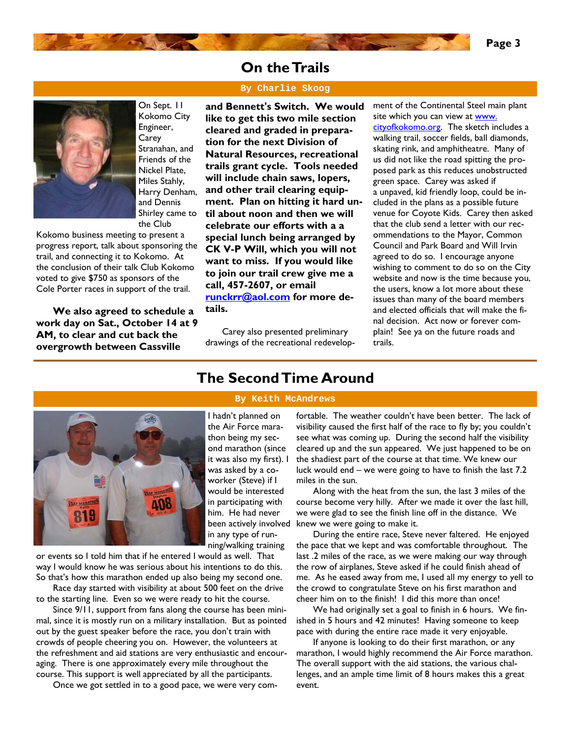### **On the Trails**

#### **By Charlie Skoog**



On Sept. 11 Kokomo City Engineer, **Carey** Stranahan, and Friends of the Nickel Plate, Miles Stahly, Harry Denham, and Dennis Shirley came to the Club

Kokomo business meeting to present a progress report, talk about sponsoring the trail, and connecting it to Kokomo. At the conclusion of their talk Club Kokomo voted to give \$750 as sponsors of the Cole Porter races in support of the trail.

**We also agreed to schedule a work day on Sat., October 14 at 9 AM, to clear and cut back the overgrowth between Cassville** 

**and Bennett's Switch. We would like to get this two mile section cleared and graded in preparation for the next Division of Natural Resources, recreational trails grant cycle. Tools needed will include chain saws, lopers, and other trail clearing equipment. Plan on hitting it hard until about noon and then we will celebrate our efforts with a a special lunch being arranged by CK V-P Will, which you will not want to miss. If you would like to join our trail crew give me a call, 457-2607, or email runckrr@aol.com for more details.** 

Carey also presented preliminary drawings of the recreational redevelop-

**The Second Time Around** 

**By Keith McAndrews** 

ment of the Continental Steel main plant site which you can view at www. cityofkokomo.org. The sketch includes a walking trail, soccer fields, ball diamonds, skating rink, and amphitheatre. Many of us did not like the road spitting the proposed park as this reduces unobstructed

green space. Carey was asked if a unpaved, kid friendly loop, could be included in the plans as a possible future venue for Coyote Kids. Carey then asked that the club send a letter with our recommendations to the Mayor, Common Council and Park Board and Will Irvin agreed to do so. I encourage anyone wishing to comment to do so on the City website and now is the time because you, the users, know a lot more about these issues than many of the board members and elected officials that will make the final decision. Act now or forever complain! See ya on the future roads and trails.



I hadn't planned on the Air Force marathon being my second marathon (since it was also my first). I was asked by a coworker (Steve) if I would be interested in participating with him. He had never in any type of running/walking training

or events so I told him that if he entered I would as well. That way I would know he was serious about his intentions to do this. So that's how this marathon ended up also being my second one.

Race day started with visibility at about 500 feet on the drive to the starting line. Even so we were ready to hit the course.

Since 9/11, support from fans along the course has been minimal, since it is mostly run on a military installation. But as pointed out by the guest speaker before the race, you don't train with crowds of people cheering you on. However, the volunteers at the refreshment and aid stations are very enthusiastic and encouraging. There is one approximately every mile throughout the course. This support is well appreciated by all the participants.

Once we got settled in to a good pace, we were very com-

fortable. The weather couldn't have been better. The lack of visibility caused the first half of the race to fly by; you couldn't see what was coming up. During the second half the visibility cleared up and the sun appeared. We just happened to be on the shadiest part of the course at that time. We knew our luck would end – we were going to have to finish the last 7.2 miles in the sun.

been actively involved knew we were going to make it. Along with the heat from the sun, the last 3 miles of the course become very hilly. After we made it over the last hill, we were glad to see the finish line off in the distance. We

> During the entire race, Steve never faltered. He enjoyed the pace that we kept and was comfortable throughout. The last .2 miles of the race, as we were making our way through the row of airplanes, Steve asked if he could finish ahead of me. As he eased away from me, I used all my energy to yell to the crowd to congratulate Steve on his first marathon and cheer him on to the finish! I did this more than once!

We had originally set a goal to finish in 6 hours. We finished in 5 hours and 42 minutes! Having someone to keep pace with during the entire race made it very enjoyable.

If anyone is looking to do their first marathon, or any marathon, I would highly recommend the Air Force marathon. The overall support with the aid stations, the various challenges, and an ample time limit of 8 hours makes this a great event.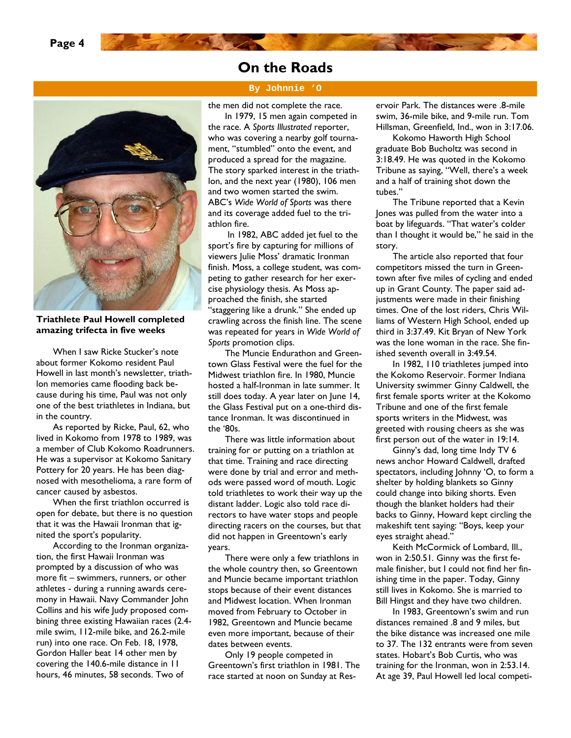### **On the Roads**

**By Johnnie 'O** 



**Triathlete Paul Howell completed amazing trifecta in five weeks** 

When I saw Ricke Stucker's note about former Kokomo resident Paul Howell in last month's newsletter, triathlon memories came flooding back because during his time, Paul was not only one of the best triathletes in Indiana, but in the country.

As reported by Ricke, Paul, 62, who lived in Kokomo from 1978 to 1989, was a member of Club Kokomo Roadrunners. He was a supervisor at Kokomo Sanitary Pottery for 20 years. He has been diagnosed with mesothelioma, a rare form of cancer caused by asbestos.

When the first triathlon occurred is open for debate, but there is no question that it was the Hawaii Ironman that ignited the sport's popularity.

According to the Ironman organization, the first Hawaii Ironman was prompted by a discussion of who was more fit – swimmers, runners, or other athletes - during a running awards ceremony in Hawaii. Navy Commander John Collins and his wife Judy proposed combining three existing Hawaiian races (2.4 mile swim, 112-mile bike, and 26.2-mile run) into one race. On Feb. 18, 1978, Gordon Haller beat 14 other men by covering the 140.6-mile distance in 11 hours, 46 minutes, 58 seconds. Two of

the men did not complete the race.

In 1979, 15 men again competed in the race. A *Sports Illustrated* reporter, who was covering a nearby golf tournament, "stumbled" onto the event, and produced a spread for the magazine. The story sparked interest in the triathlon, and the next year (1980), 106 men and two women started the swim. ABC's *Wide World of Sports* was there and its coverage added fuel to the triathlon fire.

 In 1982, ABC added jet fuel to the sport's fire by capturing for millions of viewers Julie Moss' dramatic Ironman finish. Moss, a college student, was competing to gather research for her exercise physiology thesis. As Moss approached the finish, she started "staggering like a drunk." She ended up crawling across the finish line. The scene was repeated for years in *Wide World of Sports* promotion clips.

The Muncie Endurathon and Greentown Glass Festival were the fuel for the Midwest triathlon fire. In 1980, Muncie hosted a half-Ironman in late summer. It still does today. A year later on June 14, the Glass Festival put on a one-third distance Ironman. It was discontinued in the '80s.

There was little information about training for or putting on a triathlon at that time. Training and race directing were done by trial and error and methods were passed word of mouth. Logic told triathletes to work their way up the distant ladder. Logic also told race directors to have water stops and people directing racers on the courses, but that did not happen in Greentown's early years.

There were only a few triathlons in the whole country then, so Greentown and Muncie became important triathlon stops because of their event distances and Midwest location. When Ironman moved from February to October in 1982, Greentown and Muncie became even more important, because of their dates between events.

Only 19 people competed in Greentown's first triathlon in 1981. The race started at noon on Sunday at Res-

ervoir Park. The distances were .8-mile swim, 36-mile bike, and 9-mile run. Tom Hillsman, Greenfield, Ind., won in 3:17.06.

Kokomo Haworth High School graduate Bob Bucholtz was second in 3:18.49. He was quoted in the Kokomo Tribune as saying, "Well, there's a week and a half of training shot down the tubes."

The Tribune reported that a Kevin Jones was pulled from the water into a boat by lifeguards. "That water's colder than I thought it would be," he said in the story.

The article also reported that four competitors missed the turn in Greentown after five miles of cycling and ended up in Grant County. The paper said adjustments were made in their finishing times. One of the lost riders, Chris Williams of Western High School, ended up third in 3:37.49. Kit Bryan of New York was the lone woman in the race. She finished seventh overall in 3:49.54.

In 1982, 110 triathletes jumped into the Kokomo Reservoir. Former Indiana University swimmer Ginny Caldwell, the first female sports writer at the Kokomo Tribune and one of the first female sports writers in the Midwest, was greeted with rousing cheers as she was first person out of the water in 19:14.

Ginny's dad, long time Indy TV 6 news anchor Howard Caldwell, drafted spectators, including Johnny 'O, to form a shelter by holding blankets so Ginny could change into biking shorts. Even though the blanket holders had their backs to Ginny, Howard kept circling the makeshift tent saying: "Boys, keep your eyes straight ahead."

Keith McCormick of Lombard, Ill., won in 2:50.51. Ginny was the first female finisher, but I could not find her finishing time in the paper. Today, Ginny still lives in Kokomo. She is married to Bill Hingst and they have two children.

In 1983, Greentown's swim and run distances remained .8 and 9 miles, but the bike distance was increased one mile to 37. The 132 entrants were from seven states. Hobart's Bob Curtis, who was training for the Ironman, won in 2:53.14. At age 39, Paul Howell led local competi-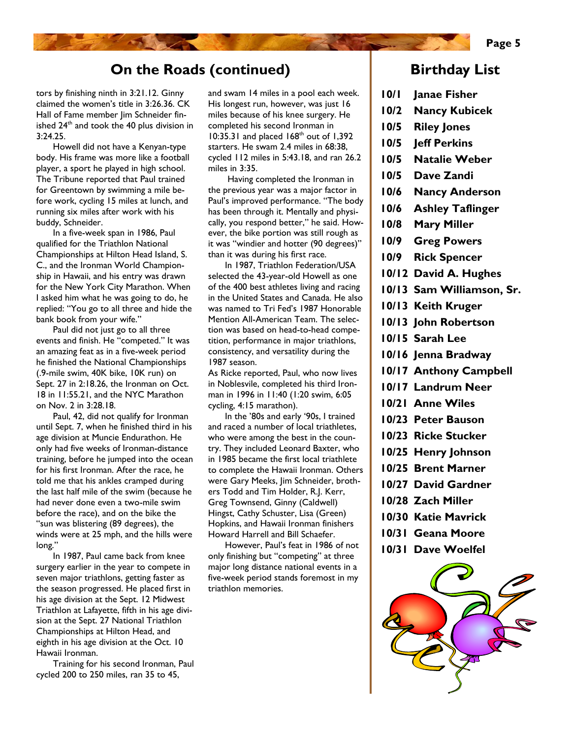### **On the Roads (continued) CONDUM** Birthday List

tors by finishing ninth in 3:21.12. Ginny claimed the women's title in 3:26.36. CK Hall of Fame member Jim Schneider finished  $24<sup>th</sup>$  and took the 40 plus division in  $3.24.25$ 

Howell did not have a Kenyan-type body. His frame was more like a football player, a sport he played in high school. The Tribune reported that Paul trained for Greentown by swimming a mile before work, cycling 15 miles at lunch, and running six miles after work with his buddy, Schneider.

In a five-week span in 1986, Paul qualified for the Triathlon National Championships at Hilton Head Island, S. C., and the Ironman World Championship in Hawaii, and his entry was drawn for the New York City Marathon. When I asked him what he was going to do, he replied: "You go to all three and hide the bank book from your wife."

Paul did not just go to all three events and finish. He "competed." It was an amazing feat as in a five-week period he finished the National Championships (.9-mile swim, 40K bike, 10K run) on Sept. 27 in 2:18.26, the Ironman on Oct. 18 in 11:55.21, and the NYC Marathon on Nov. 2 in 3:28.18.

Paul, 42, did not qualify for Ironman until Sept. 7, when he finished third in his age division at Muncie Endurathon. He only had five weeks of Ironman-distance training, before he jumped into the ocean for his first Ironman. After the race, he told me that his ankles cramped during the last half mile of the swim (because he had never done even a two-mile swim before the race), and on the bike the "sun was blistering (89 degrees), the winds were at 25 mph, and the hills were long."

In 1987, Paul came back from knee surgery earlier in the year to compete in seven major triathlons, getting faster as the season progressed. He placed first in his age division at the Sept. 12 Midwest Triathlon at Lafayette, fifth in his age division at the Sept. 27 National Triathlon Championships at Hilton Head, and eighth in his age division at the Oct. 10 Hawaii Ironman.

Training for his second Ironman, Paul cycled 200 to 250 miles, ran 35 to 45,

and swam 14 miles in a pool each week. His longest run, however, was just 16 miles because of his knee surgery. He completed his second Ironman in 10:35.31 and placed  $168<sup>th</sup>$  out of 1,392 starters. He swam 2.4 miles in 68:38, cycled 112 miles in 5:43.18, and ran 26.2 miles in 3:35.

 Having completed the Ironman in the previous year was a major factor in Paul's improved performance. "The body has been through it. Mentally and physically, you respond better," he said. However, the bike portion was still rough as it was "windier and hotter (90 degrees)" than it was during his first race.

In 1987, Triathlon Federation/USA selected the 43-year-old Howell as one of the 400 best athletes living and racing in the United States and Canada. He also was named to Tri Fed's 1987 Honorable Mention All-American Team. The selection was based on head-to-head competition, performance in major triathlons, consistency, and versatility during the 1987 season.

As Ricke reported, Paul, who now lives in Noblesvile, completed his third Ironman in 1996 in 11:40 (1:20 swim, 6:05 cycling, 4:15 marathon).

In the '80s and early '90s, I trained and raced a number of local triathletes, who were among the best in the country. They included Leonard Baxter, who in 1985 became the first local triathlete to complete the Hawaii Ironman. Others were Gary Meeks, Jim Schneider, brothers Todd and Tim Holder, R.J. Kerr, Greg Townsend, Ginny (Caldwell) Hingst, Cathy Schuster, Lisa (Green) Hopkins, and Hawaii Ironman finishers Howard Harrell and Bill Schaefer.

However, Paul's feat in 1986 of not only finishing but "competing" at three major long distance national events in a five-week period stands foremost in my triathlon memories.

- **10/1 Janae Fisher 10/2 Nancy Kubicek**
- **10/5 Riley Jones**
- **10/5 Jeff Perkins**
- **10/5 Natalie Weber**
- **10/5 Dave Zandi**
- **10/6 Nancy Anderson**
- **10/6 Ashley Taflinger**
- **10/8 Mary Miller**
- **10/9 Greg Powers**
- **10/9 Rick Spencer**
- **10/12 David A. Hughes**
- **10/13 Sam Williamson, Sr.**
- **10/13 Keith Kruger**
- **10/13 John Robertson**
- **10/15 Sarah Lee**
- **10/16 Jenna Bradway**
- **10/17 Anthony Campbell**
- **10/17 Landrum Neer**
- **10/21 Anne Wiles**
- **10/23 Peter Bauson**
- **10/23 Ricke Stucker**
- **10/25 Henry Johnson**
- **10/25 Brent Marner**
- **10/27 David Gardner**
- **10/28 Zach Miller**
- **10/30 Katie Mavrick**
- **10/31 Geana Moore**
- **10/31 Dave Woelfel**

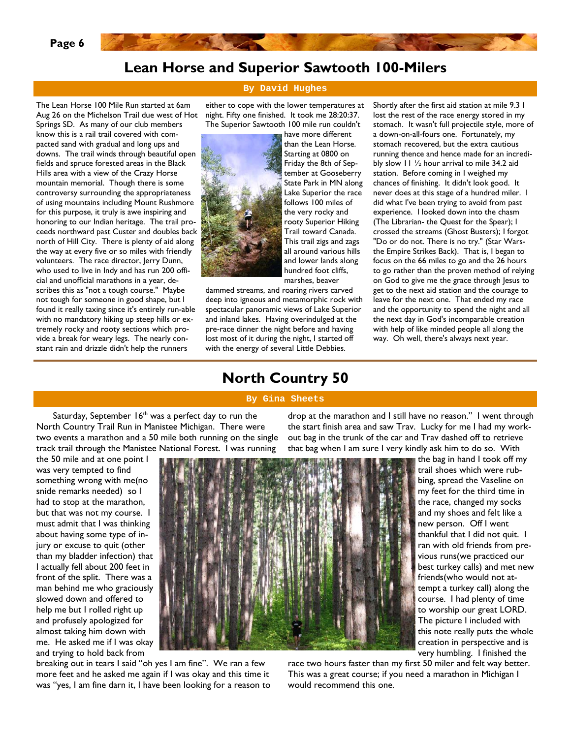### **Lean Horse and Superior Sawtooth 100-Milers**

The Lean Horse 100 Mile Run started at 6am Aug 26 on the Michelson Trail due west of Hot Springs SD. As many of our club members know this is a rail trail covered with compacted sand with gradual and long ups and downs. The trail winds through beautiful open fields and spruce forested areas in the Black Hills area with a view of the Crazy Horse mountain memorial. Though there is some controversy surrounding the appropriateness of using mountains including Mount Rushmore for this purpose, it truly is awe inspiring and honoring to our Indian heritage. The trail proceeds northward past Custer and doubles back north of Hill City. There is plenty of aid along the way at every five or so miles with friendly volunteers. The race director, Jerry Dunn, who used to live in Indy and has run 200 official and unofficial marathons in a year, describes this as "not a tough course." Maybe not tough for someone in good shape, but I found it really taxing since it's entirely run-able with no mandatory hiking up steep hills or extremely rocky and rooty sections which provide a break for weary legs. The nearly constant rain and drizzle didn't help the runners

#### **By David Hughes**

either to cope with the lower temperatures at night. Fifty one finished. It took me 28:20:37. The Superior Sawtooth 100 mile run couldn't



have more different than the Lean Horse. Starting at 0800 on Friday the 8th of September at Gooseberry State Park in MN along Lake Superior the race follows 100 miles of the very rocky and rooty Superior Hiking Trail toward Canada. This trail zigs and zags all around various hills and lower lands along hundred foot cliffs, marshes, beaver

dammed streams, and roaring rivers carved deep into igneous and metamorphic rock with spectacular panoramic views of Lake Superior and inland lakes. Having overindulged at the pre-race dinner the night before and having lost most of it during the night, I started off with the energy of several Little Debbies.

Shortly after the first aid station at mile 9.3 I lost the rest of the race energy stored in my stomach. It wasn't full projectile style, more of a down-on-all-fours one. Fortunately, my stomach recovered, but the extra cautious running thence and hence made for an incredibly slow 11 ½ hour arrival to mile 34.2 aid station. Before coming in I weighed my chances of finishing. It didn't look good. It never does at this stage of a hundred miler. I did what I've been trying to avoid from past experience. I looked down into the chasm (The Librarian- the Quest for the Spear); I crossed the streams (Ghost Busters); I forgot "Do or do not. There is no try." (Star Warsthe Empire Strikes Back). That is, I began to focus on the 66 miles to go and the 26 hours to go rather than the proven method of relying on God to give me the grace through Jesus to get to the next aid station and the courage to leave for the next one. That ended my race and the opportunity to spend the night and all the next day in God's incomparable creation with help of like minded people all along the way. Oh well, there's always next year.

### **North Country 50**

#### **By Gina Sheets**

Saturday, September  $16<sup>th</sup>$  was a perfect day to run the North Country Trail Run in Manistee Michigan. There were two events a marathon and a 50 mile both running on the single track trail through the Manistee National Forest. I was running

the 50 mile and at one point I was very tempted to find something wrong with me(no snide remarks needed) so I had to stop at the marathon, but that was not my course. I must admit that I was thinking about having some type of injury or excuse to quit (other than my bladder infection) that I actually fell about 200 feet in front of the split. There was a man behind me who graciously slowed down and offered to help me but I rolled right up and profusely apologized for almost taking him down with me. He asked me if I was okay and trying to hold back from



breaking out in tears I said "oh yes I am fine". We ran a few more feet and he asked me again if I was okay and this time it was "yes, I am fine darn it, I have been looking for a reason to drop at the marathon and I still have no reason." I went through the start finish area and saw Trav. Lucky for me I had my workout bag in the trunk of the car and Trav dashed off to retrieve that bag when I am sure I very kindly ask him to do so. With

the bag in hand I took off my trail shoes which were rubbing, spread the Vaseline on my feet for the third time in the race, changed my socks and my shoes and felt like a new person. Off I went thankful that I did not quit. I ran with old friends from previous runs(we practiced our best turkey calls) and met new friends(who would not attempt a turkey call) along the course. I had plenty of time to worship our great LORD. The picture I included with this note really puts the whole creation in perspective and is very humbling. I finished the

race two hours faster than my first 50 miler and felt way better. This was a great course; if you need a marathon in Michigan I would recommend this one.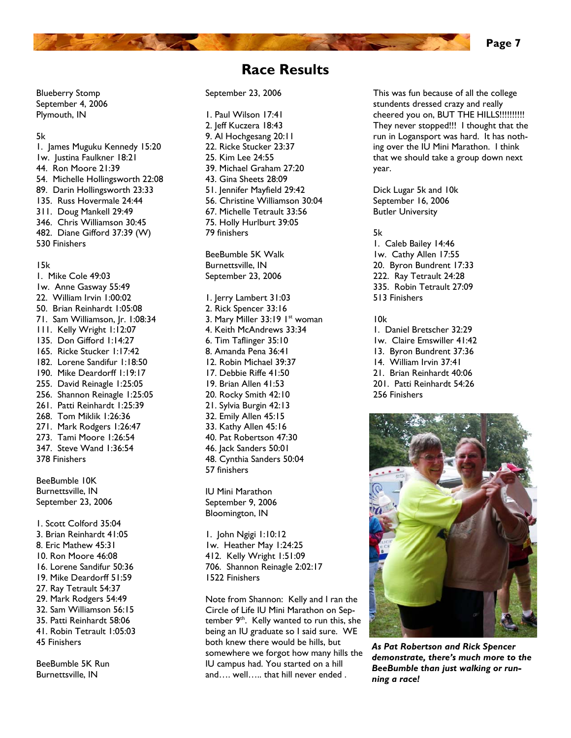

Blueberry Stomp September 4, 2006 Plymouth, IN

#### 5k

1. James Muguku Kennedy 15:20 1w. Justina Faulkner 18:21 44. Ron Moore 21:39 54. Michelle Hollingsworth 22:08 89. Darin Hollingsworth 23:33 135. Russ Hovermale 24:44 311. Doug Mankell 29:49 346. Chris Williamson 30:45 482. Diane Gifford 37:39 (W) 530 Finishers

#### 15k

1. Mike Cole 49:03 1w. Anne Gasway 55:49 22. William Irvin 1:00:02 50. Brian Reinhardt 1:05:08 71. Sam Williamson, Jr. 1:08:34 111. Kelly Wright 1:12:07 135. Don Gifford 1:14:27 165. Ricke Stucker 1:17:42 182. Lorene Sandifur 1:18:50 190. Mike Deardorff 1:19:17 255. David Reinagle 1:25:05 256. Shannon Reinagle 1:25:05 261. Patti Reinhardt 1:25:39 268. Tom Miklik 1:26:36 271. Mark Rodgers 1:26:47 273. Tami Moore 1:26:54 347. Steve Wand 1:36:54 378 Finishers

BeeBumble 10K Burnettsville, IN September 23, 2006

1. Scott Colford 35:04 3. Brian Reinhardt 41:05 8. Eric Mathew 45:31 10. Ron Moore 46:08 16. Lorene Sandifur 50:36 19. Mike Deardorff 51:59 27. Ray Tetrault 54:37 29. Mark Rodgers 54:49 32. Sam Williamson 56:15 35. Patti Reinhardt 58:06 41. Robin Tetrault 1:05:03 45 Finishers

BeeBumble 5K Run Burnettsville, IN

### **Race Results**

September 23, 2006

1. Paul Wilson 17:41 2. Jeff Kuczera 18:43 9. Al Hochgesang 20:11 22. Ricke Stucker 23:37 25. Kim Lee 24:55 39. Michael Graham 27:20 43. Gina Sheets 28:09 51. Jennifer Mayfield 29:42 56. Christine Williamson 30:04 67. Michelle Tetrault 33:56 75. Holly Hurlburt 39:05 79 finishers

BeeBumble 5K Walk Burnettsville, IN September 23, 2006

1. Jerry Lambert 31:03 2. Rick Spencer 33:16 3. Mary Miller 33:19 1st woman 4. Keith McAndrews 33:34 6. Tim Taflinger 35:10 8. Amanda Pena 36:41 12. Robin Michael 39:37 17. Debbie Riffe 41:50 19. Brian Allen 41:53 20. Rocky Smith 42:10 21. Sylvia Burgin 42:13 32. Emily Allen 45:15 33. Kathy Allen 45:16 40. Pat Robertson 47:30 46. Jack Sanders 50:01 48. Cynthia Sanders 50:04 57 finishers

IU Mini Marathon September 9, 2006 Bloomington, IN

1. John Ngigi 1:10:12 1w. Heather May 1:24:25 412. Kelly Wright 1:51:09 706. Shannon Reinagle 2:02:17 1522 Finishers

Note from Shannon: Kelly and I ran the Circle of Life IU Mini Marathon on September 9<sup>th</sup>. Kelly wanted to run this, she being an IU graduate so I said sure. WE both knew there would be hills, but somewhere we forgot how many hills the IU campus had. You started on a hill and…. well….. that hill never ended .

This was fun because of all the college stundents dressed crazy and really cheered you on, BUT THE HILLS!!!!!!!!!! They never stopped!!! I thought that the run in Logansport was hard. It has nothing over the IU Mini Marathon. I think that we should take a group down next year.

Dick Lugar 5k and 10k September 16, 2006 Butler University

5k

1. Caleb Bailey 14:46 1w. Cathy Allen 17:55 20. Byron Bundrent 17:33 222. Ray Tetrault 24:28 335. Robin Tetrault 27:09 513 Finishers

#### 10k

1. Daniel Bretscher 32:29 1w. Claire Emswiller 41:42 13. Byron Bundrent 37:36 14. William Irvin 37:41 21. Brian Reinhardt 40:06 201. Patti Reinhardt 54:26 256 Finishers



*As Pat Robertson and Rick Spencer demonstrate, there's much more to the BeeBumble than just walking or running a race!*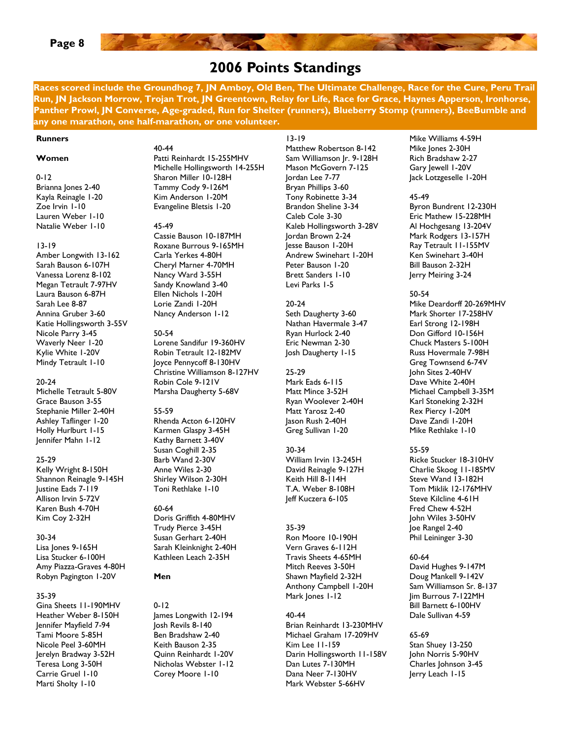### **2006 Points Standings**

**Races scored include the Groundhog 7, JN Amboy, Old Ben, The Ultimate Challenge, Race for the Cure, Peru Trail Run, JN Jackson Morrow, Trojan Trot, JN Greentown, Relay for Life, Race for Grace, Haynes Apperson, Ironhorse, Panther Prowl, JN Converse, Age-graded, Run for Shelter (runners), Blueberry Stomp (runners), BeeBumble and any one marathon, one half-marathon, or one volunteer.** 

#### **Runners**

#### **Women**

0-12 Brianna Jones 2-40 Kayla Reinagle 1-20 Zoe Irvin 1-10 Lauren Weber 1-10 Natalie Weber 1-10

#### 13-19

Amber Longwith 13-162 Sarah Bauson 6-107H Vanessa Lorenz 8-102 Megan Tetrault 7-97HV Laura Bauson 6-87H Sarah Lee 8-87 Annina Gruber 3-60 Katie Hollingsworth 3-55V Nicole Parry 3-45 Waverly Neer 1-20 Kylie White 1-20V Mindy Tetrault 1-10

#### 20-24

Michelle Tetrault 5-80V Grace Bauson 3-55 Stephanie Miller 2-40H Ashley Taflinger 1-20 Holly Hurlburt 1-15 Jennifer Mahn 1-12

#### 25-29

Kelly Wright 8-150H Shannon Reinagle 9-145H Justine Eads 7-119 Allison Irvin 5-72V Karen Bush 4-70H Kim Coy 2-32H

#### 30-34

Lisa Jones 9-165H Lisa Stucker 6-100H Amy Piazza-Graves 4-80H Robyn Pagington 1-20V

#### 35-39

Gina Sheets 11-190MHV Heather Weber 8-150H Jennifer Mayfield 7-94 Tami Moore 5-85H Nicole Peel 3-60MH Jerelyn Bradway 3-52H Teresa Long 3-50H Carrie Gruel 1-10 Marti Sholty 1-10

40-44 Patti Reinhardt 15-255MHV Michelle Hollingsworth 14-255H Sharon Miller 10-128H Tammy Cody 9-126M Kim Anderson 1-20M Evangeline Bletsis 1-20

#### 45-49

Cassie Bauson 10-187MH Roxane Burrous 9-165MH Carla Yerkes 4-80H Cheryl Marner 4-70MH Nancy Ward 3-55H Sandy Knowland 3-40 Ellen Nichols 1-20H Lorie Zandi 1-20H Nancy Anderson 1-12

#### 50-54

Lorene Sandifur 19-360HV Robin Tetrault 12-182MV Joyce Pennycoff 8-130HV Christine Williamson 8-127HV Robin Cole 9-121V Marsha Daugherty 5-68V

#### 55-59

Rhenda Acton 6-120HV Karmen Glaspy 3-45H Kathy Barnett 3-40V Susan Coghill 2-35 Barb Wand 2-30V Anne Wiles 2-30 Shirley Wilson 2-30H Toni Rethlake 1-10

#### 60-64 Doris Griffith 4-80MHV Trudy Pierce 3-45H Susan Gerhart 2-40H Sarah Kleinknight 2-40H Kathleen Leach 2-35H

#### **Men**

0-12 James Longwith 12-194 Josh Revils 8-140 Ben Bradshaw 2-40 Keith Bauson 2-35 Quinn Reinhardt 1-20V Nicholas Webster 1-12 Corey Moore 1-10

#### 13-19

Matthew Robertson 8-142 Sam Williamson Jr. 9-128H Mason McGovern 7-125 Jordan Lee 7-77 Bryan Phillips 3-60 Tony Robinette 3-34 Brandon Sheline 3-34 Caleb Cole 3-30 Kaleb Hollingsworth 3-28V Jordan Brown 2-24 Jesse Bauson 1-20H Andrew Swinehart 1-20H Peter Bauson 1-20 Brett Sanders 1-10 Levi Parks 1-5

#### 20-24

Seth Daugherty 3-60 Nathan Havermale 3-47 Ryan Hurlock 2-40 Eric Newman 2-30 Josh Daugherty 1-15

### 25-29

Mark Eads 6-115 Matt Mince 3-52H Ryan Woolever 2-40H Matt Yarosz 2-40 Jason Rush 2-40H Greg Sullivan 1-20

#### 30-34

William Irvin 13-245H David Reinagle 9-127H Keith Hill 8-114H T.A. Weber 8-108H Jeff Kuczera 6-105

#### 35-39

Ron Moore 10-190H Vern Graves 6-112H Travis Sheets 4-65MH Mitch Reeves 3-50H Shawn Mayfield 2-32H Anthony Campbell 1-20H Mark Jones 1-12

### 40-44

Brian Reinhardt 13-230MHV Michael Graham 17-209HV Kim Lee 11-159 Darin Hollingsworth 11-158V Dan Lutes 7-130MH Dana Neer 7-130HV Mark Webster 5-66HV

Mike Williams 4-59H Mike Jones 2-30H Rich Bradshaw 2-27 Gary Jewell 1-20V Jack Lotzgeselle 1-20H

#### 45-49

Byron Bundrent 12-230H Eric Mathew 15-228MH Al Hochgesang 13-204V Mark Rodgers 13-157H Ray Tetrault 11-155MV Ken Swinehart 3-40H Bill Bauson 2-32H Jerry Meiring 3-24

#### 50-54

Mike Deardorff 20-269MHV Mark Shorter 17-258HV Earl Strong 12-198H Don Gifford 10-156H Chuck Masters 5-100H Russ Hovermale 7-98H Greg Townsend 6-74V John Sites 2-40HV Dave White 2-40H Michael Campbell 3-35M Karl Stoneking 2-32H Rex Piercy 1-20M Dave Zandi 1-20H Mike Rethlake 1-10

#### 55-59

Ricke Stucker 18-310HV Charlie Skoog 11-185MV Steve Wand 13-182H Tom Miklik 12-176MHV Steve Kilcline 4-61H Fred Chew 4-52H John Wiles 3-50HV Joe Rangel 2-40 Phil Leininger 3-30

#### 60-64

David Hughes 9-147M Doug Mankell 9-142V Sam Williamson Sr. 8-137 Jim Burrous 7-122MH Bill Barnett 6-100HV Dale Sullivan 4-59

#### 65-69

Stan Shuey 13-250 John Norris 5-90HV Charles Johnson 3-45 Jerry Leach 1-15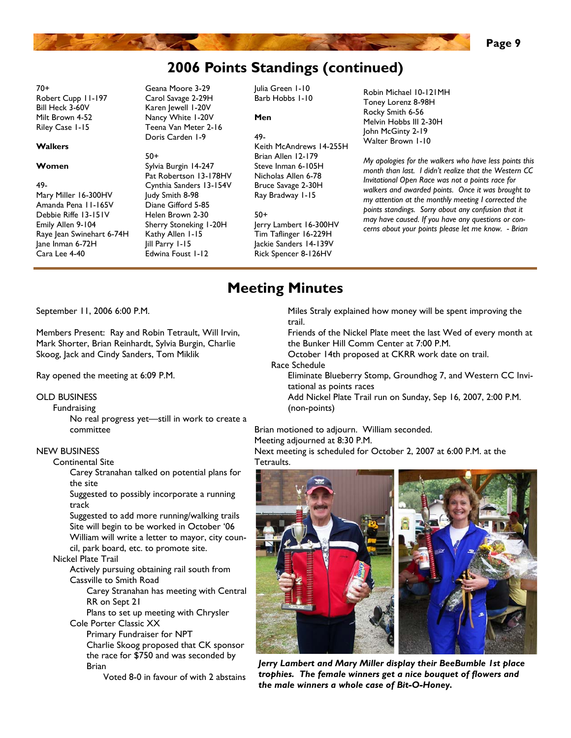

## **2006 Points Standings (continued)**

Julia Green 1-10 Barb Hobbs 1-10

**Men** 

49-

70+ Robert Cupp 11-197 Bill Heck 3-60V Milt Brown 4-52 Riley Case 1-15

#### **Walkers**

#### **Women**

49-

Mary Miller 16-300HV Amanda Pena 11-165V Debbie Riffe 13-151V Emily Allen 9-104 Raye Jean Swinehart 6-74H Jane Inman 6-72H Cara Lee 4-40

Geana Moore 3-29 Carol Savage 2-29H Karen Jewell 1-20V Nancy White 1-20V Teena Van Meter 2-16 Doris Carden 1-9 50+ Sylvia Burgin 14-247 Pat Robertson 13-178HV Cynthia Sanders 13-154V Judy Smith 8-98 Diane Gifford 5-85 Helen Brown 2-30

Sherry Stoneking 1-20H Kathy Allen 1-15 Jill Parry 1-15 Edwina Foust 1-12

50+

Jerry Lambert 16-300HV Tim Taflinger 16-229H Jackie Sanders 14-139V Rick Spencer 8-126HV

Keith McAndrews 14-255H Brian Allen 12-179 Steve Inman 6-105H Nicholas Allen 6-78 Bruce Savage 2-30H Ray Bradway 1-15

Robin Michael 10-121MH Toney Lorenz 8-98H Rocky Smith 6-56 Melvin Hobbs III 2-30H John McGinty 2-19 Walter Brown 1-10

*My apologies for the walkers who have less points this month than last. I didn't realize that the Western CC Invitational Open Race was not a points race for walkers and awarded points. Once it was brought to my attention at the monthly meeting I corrected the points standings. Sorry about any confusion that it may have caused. If you have any questions or concerns about your points please let me know. - Brian* 

### **Meeting Minutes**

September 11, 2006 6:00 P.M.

Members Present: Ray and Robin Tetrault, Will Irvin, Mark Shorter, Brian Reinhardt, Sylvia Burgin, Charlie Skoog, Jack and Cindy Sanders, Tom Miklik

Ray opened the meeting at 6:09 P.M.

#### OLD BUSINESS

#### Fundraising

No real progress yet—still in work to create a committee

#### NEW BUSINESS

Continental Site

Carey Stranahan talked on potential plans for the site

Suggested to possibly incorporate a running track

Suggested to add more running/walking trails Site will begin to be worked in October '06 William will write a letter to mayor, city council, park board, etc. to promote site.

#### Nickel Plate Trail

Actively pursuing obtaining rail south from Cassville to Smith Road

Carey Stranahan has meeting with Central RR on Sept 21

Plans to set up meeting with Chrysler Cole Porter Classic XX

Primary Fundraiser for NPT Charlie Skoog proposed that CK sponsor the race for \$750 and was seconded by Brian

Voted 8-0 in favour of with 2 abstains

Miles Straly explained how money will be spent improving the trail.

Friends of the Nickel Plate meet the last Wed of every month at the Bunker Hill Comm Center at 7:00 P.M.

October 14th proposed at CKRR work date on trail.

Race Schedule

Eliminate Blueberry Stomp, Groundhog 7, and Western CC Invitational as points races

Add Nickel Plate Trail run on Sunday, Sep 16, 2007, 2:00 P.M. (non-points)

Brian motioned to adjourn. William seconded.

Meeting adjourned at 8:30 P.M.

Next meeting is scheduled for October 2, 2007 at 6:00 P.M. at the Tetraults.



*Jerry Lambert and Mary Miller display their BeeBumble 1st place trophies. The female winners get a nice bouquet of flowers and the male winners a whole case of Bit-O-Honey.*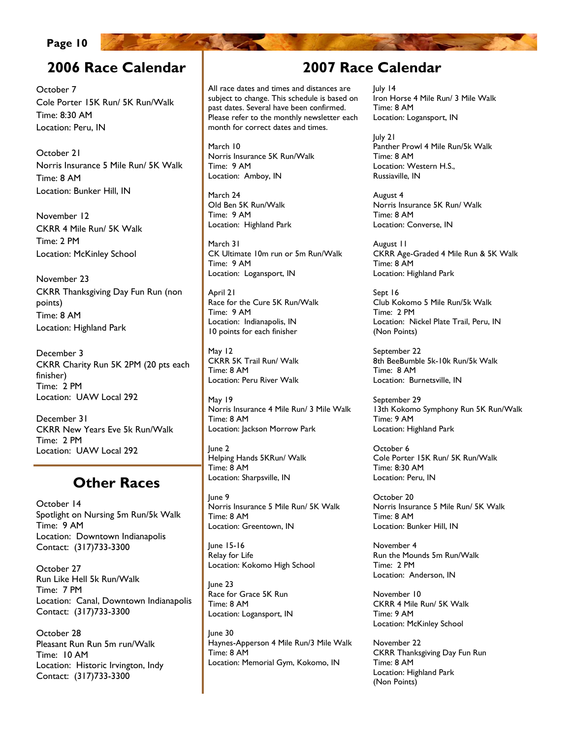## **2006 Race Calendar 2007 Race Calendar**

October 7 Cole Porter 15K Run/ 5K Run/Walk Time: 8:30 AM Location: Peru, IN

October 21 Norris Insurance 5 Mile Run/ 5K Walk Time: 8 AM Location: Bunker Hill, IN

November 12 CKRR 4 Mile Run/ 5K Walk Time: 2 PM Location: McKinley School

November 23 CKRR Thanksgiving Day Fun Run (non points) Time: 8 AM Location: Highland Park

December 3 CKRR Charity Run 5K 2PM (20 pts each finisher) Time: 2 PM Location: UAW Local 292

December 31 CKRR New Years Eve 5k Run/Walk Time: 2 PM Location: UAW Local 292

### **Other Races**

October 14 Spotlight on Nursing 5m Run/5k Walk Time: 9 AM Location: Downtown Indianapolis Contact: (317)733-3300

October 27 Run Like Hell 5k Run/Walk Time: 7 PM Location: Canal, Downtown Indianapolis Contact: (317)733-3300

October 28 Pleasant Run Run 5m run/Walk Time: 10 AM Location: Historic Irvington, Indy Contact: (317)733-3300

All race dates and times and distances are subject to change. This schedule is based on past dates. Several have been confirmed. Please refer to the monthly newsletter each month for correct dates and times.

March 10 Norris Insurance 5K Run/Walk Time: 9 AM Location: Amboy, IN

March 24 Old Ben 5K Run/Walk Time: 9 AM Location: Highland Park

March 31 CK Ultimate 10m run or 5m Run/Walk Time: 9 AM Location: Logansport, IN

April 21 Race for the Cure 5K Run/Walk Time: 9 AM Location: Indianapolis, IN 10 points for each finisher

May 12 CKRR 5K Trail Run/ Walk Time: 8 AM Location: Peru River Walk

May 19 Norris Insurance 4 Mile Run/ 3 Mile Walk Time: 8 AM Location: Jackson Morrow Park

June 2 Helping Hands 5KRun/ Walk Time: 8 AM Location: Sharpsville, IN

June 9 Norris Insurance 5 Mile Run/ 5K Walk Time: 8 AM Location: Greentown, IN

June 15-16 Relay for Life Location: Kokomo High School

June 23 Race for Grace 5K Run Time: 8 AM Location: Logansport, IN

June 30 Haynes-Apperson 4 Mile Run/3 Mile Walk Time: 8 AM Location: Memorial Gym, Kokomo, IN

July 14 Iron Horse 4 Mile Run/ 3 Mile Walk Time: 8 AM Location: Logansport, IN

July 21 Panther Prowl 4 Mile Run/5k Walk Time: 8 AM Location: Western H.S., Russiaville, IN

August 4 Norris Insurance 5K Run/ Walk Time: 8 AM Location: Converse, IN

August 11 CKRR Age-Graded 4 Mile Run & 5K Walk Time: 8 AM Location: Highland Park

Sept 16 Club Kokomo 5 Mile Run/5k Walk Time: 2 PM Location: Nickel Plate Trail, Peru, IN (Non Points)

September 22 8th BeeBumble 5k-10k Run/5k Walk Time: 8 AM Location: Burnetsville, IN

September 29 13th Kokomo Symphony Run 5K Run/Walk Time: 9 AM Location: Highland Park

October 6 Cole Porter 15K Run/ 5K Run/Walk Time: 8:30 AM Location: Peru, IN

October 20 Norris Insurance 5 Mile Run/ 5K Walk Time: 8 AM Location: Bunker Hill, IN

November 4 Run the Mounds 5m Run/Walk Time: 2 PM Location: Anderson, IN

November 10 CKRR 4 Mile Run/ 5K Walk Time: 9 AM Location: McKinley School

November 22 CKRR Thanksgiving Day Fun Run Time: 8 AM Location: Highland Park (Non Points)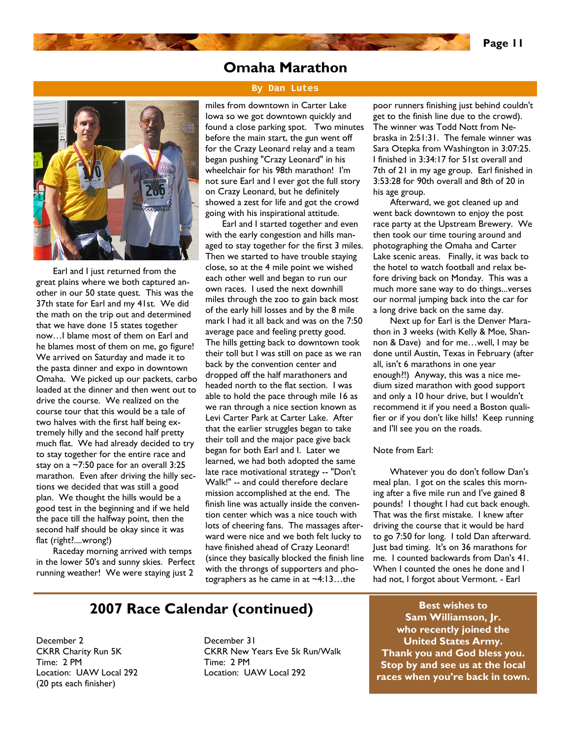### **Omaha Marathon**



Earl and I just returned from the great plains where we both captured another in our 50 state quest. This was the 37th state for Earl and my 41st. We did the math on the trip out and determined that we have done 15 states together now…I blame most of them on Earl and he blames most of them on me, go figure! We arrived on Saturday and made it to the pasta dinner and expo in downtown Omaha. We picked up our packets, carbo loaded at the dinner and then went out to drive the course. We realized on the course tour that this would be a tale of two halves with the first half being extremely hilly and the second half pretty much flat. We had already decided to try to stay together for the entire race and stay on a  $\sim$ 7:50 pace for an overall 3:25 marathon. Even after driving the hilly sections we decided that was still a good plan. We thought the hills would be a good test in the beginning and if we held the pace till the halfway point, then the second half should be okay since it was flat (right?....wrong!)

Raceday morning arrived with temps in the lower 50's and sunny skies. Perfect running weather! We were staying just 2

#### **By Dan Lutes**

miles from downtown in Carter Lake Iowa so we got downtown quickly and found a close parking spot. Two minutes before the main start, the gun went off for the Crazy Leonard relay and a team began pushing "Crazy Leonard" in his wheelchair for his 98th marathon! I'm not sure Earl and I ever got the full story on Crazy Leonard, but he definitely showed a zest for life and got the crowd going with his inspirational attitude.

Earl and I started together and even with the early congestion and hills managed to stay together for the first 3 miles. Then we started to have trouble staying close, so at the 4 mile point we wished each other well and began to run our own races. I used the next downhill miles through the zoo to gain back most of the early hill losses and by the 8 mile mark I had it all back and was on the 7:50 average pace and feeling pretty good. The hills getting back to downtown took their toll but I was still on pace as we ran back by the convention center and dropped off the half marathoners and headed north to the flat section. I was able to hold the pace through mile 16 as we ran through a nice section known as Levi Carter Park at Carter Lake. After that the earlier struggles began to take their toll and the major pace give back began for both Earl and I. Later we learned, we had both adopted the same late race motivational strategy -- "Don't Walk!" -- and could therefore declare mission accomplished at the end. The finish line was actually inside the convention center which was a nice touch with lots of cheering fans. The massages afterward were nice and we both felt lucky to have finished ahead of Crazy Leonard! (since they basically blocked the finish line with the throngs of supporters and photographers as he came in at  $\sim$ 4:13...the

poor runners finishing just behind couldn't get to the finish line due to the crowd). The winner was Todd Nott from Nebraska in 2:51:31. The female winner was Sara Otepka from Washington in 3:07:25. I finished in 3:34:17 for 51st overall and 7th of 21 in my age group. Earl finished in 3:53:28 for 90th overall and 8th of 20 in his age group.

Afterward, we got cleaned up and went back downtown to enjoy the post race party at the Upstream Brewery. We then took our time touring around and photographing the Omaha and Carter Lake scenic areas. Finally, it was back to the hotel to watch football and relax before driving back on Monday. This was a much more sane way to do things...verses our normal jumping back into the car for a long drive back on the same day.

Next up for Earl is the Denver Marathon in 3 weeks (with Kelly & Moe, Shannon & Dave) and for me…well, I may be done until Austin, Texas in February (after all, isn't 6 marathons in one year enough?!) Anyway, this was a nice medium sized marathon with good support and only a 10 hour drive, but I wouldn't recommend it if you need a Boston qualifier or if you don't like hills! Keep running and I'll see you on the roads.

#### Note from Earl:

Whatever you do don't follow Dan's meal plan. I got on the scales this morning after a five mile run and I've gained 8 pounds! I thought I had cut back enough. That was the first mistake. I knew after driving the course that it would be hard to go 7:50 for long. I told Dan afterward. Just bad timing. It's on 36 marathons for me. I counted backwards from Dan's 41. When I counted the ones he done and I had not, I forgot about Vermont. - Earl

### **2007 Race Calendar (continued)** Best wishes to

December 2 CKRR Charity Run 5K Time: 2 PM Location: UAW Local 292 (20 pts each finisher)

December 31 CKRR New Years Eve 5k Run/Walk Time: 2 PM Location: UAW Local 292

**Sam Williamson, Jr. who recently joined the United States Army. Thank you and God bless you. Stop by and see us at the local races when you're back in town.**